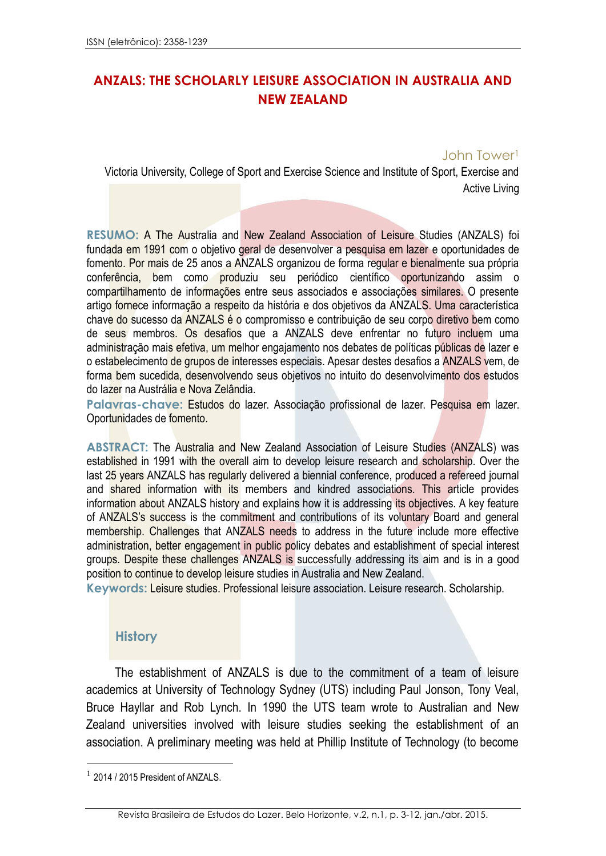## **ANZALS: THE SCHOLARLY LEISURE ASSOCIATION IN AUSTRALIA AND NEW ZEALAND**

### John Tower<sup>1</sup>

Victoria University, College of Sport and Exercise Science and Institute of Sport, Exercise and Active Living

**RESUMO:** A The Australia and New Zealand Association of Leisure Studies (ANZALS) foi fundada em 1991 com o objetivo geral de desenvolver a pesquisa em lazer e oportunidades de fomento. Por mais de 25 anos a ANZALS organizou de forma regular e bienalmente sua própria conferência, bem como produziu seu periódico científico oportunizando assim o compartilhamento de informações entre seus associados e associações similares. O presente artigo fornece informação a respeito da história e dos objetivos da ANZALS. Uma característica chave do sucesso da ANZALS é o compromisso e contribuição de seu corpo diretivo bem como de seus membros. Os desafios que a ANZALS deve enfrentar no futuro incluem uma administração mais efetiva, um melhor engajamento nos debates de políticas públicas de lazer e o estabelecimento de grupos de interesses especiais. Apesar destes desafios a ANZALS vem, de forma bem sucedida, desenvolvendo seus objetivos no intuito do desenvolvimento dos estudos do lazer na Austrália e Nova Zelândia.

Palavras-chave: Estudos do lazer. Associação profissional de lazer. Pesquisa em lazer. Oportunidades de fomento.

**ABSTRACT:** The Australia and New Zealand Association of Leisure Studies (ANZALS) was established in 1991 with the overall aim to develop leisure research and scholarship. Over the last 25 years ANZALS has regularly delivered a biennial conference, produced a refereed journal and shared information with its members and kindred associations. This article provides information about ANZALS history and explains how it is addressing its objectives. A key feature of ANZALS's success is the commitment and contributions of its voluntary Board and general membership. Challenges that ANZALS needs to address in the future include more effective administration, better engagement in public policy debates and establishment of special interest groups. Despite these challenges ANZALS is successfully addressing its aim and is in a good position to continue to develop leisure studies in Australia and New Zealand.

**Keywords:** Leisure studies. Professional leisure association. Leisure research. Scholarship.

#### **History**

The establishment of ANZALS is due to the commitment of a team of leisure academics at University of Technology Sydney (UTS) including Paul Jonson, Tony Veal, Bruce Hayllar and Rob Lynch. In 1990 the UTS team wrote to Australian and New Zealand universities involved with leisure studies seeking the establishment of an association. A preliminary meeting was held at Phillip Institute of Technology (to become

1

<sup>&</sup>lt;sup>1</sup> 2014 / 2015 President of ANZALS.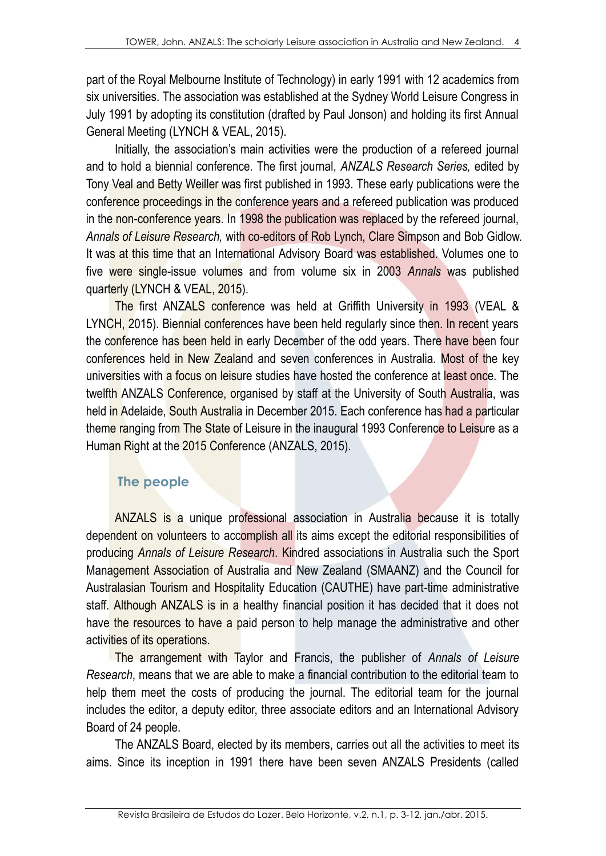part of the Royal Melbourne Institute of Technology) in early 1991 with 12 academics from six universities. The association was established at the Sydney World Leisure Congress in July 1991 by adopting its constitution (drafted by Paul Jonson) and holding its first Annual General Meeting (LYNCH & VEAL, 2015).

Initially, the association's main activities were the production of a refereed journal and to hold a biennial conference. The first journal, *ANZALS Research Series,* edited by Tony Veal and Betty Weiller was first published in 1993. These early publications were the conference proceedings in the conference years and a refereed publication was produced in the non-conference years. In 1998 the publication was replaced by the refereed journal, *Annals of Leisure Research,* with co-editors of Rob Lynch, Clare Simpson and Bob Gidlow. It was at this time that an International Advisory Board was established. Volumes one to five were single-issue volumes and from volume six in 2003 *Annals* was published quarterly (LYNCH & VEAL, 2015).

The first ANZALS conference was held at Griffith University in 1993 (VEAL & LYNCH, 2015). Biennial conferences have been held regularly since then. In recent years the conference has been held in early December of the odd years. There have been four conferences held in New Zealand and seven conferences in Australia. Most of the key universities with a focus on leisure studies have hosted the conference at least once. The twelfth ANZALS Conference, organised by staff at the University of South Australia, was held in Adelaide, South Australia in December 2015. Each conference has had a particular theme ranging from The State of Leisure in the inaugural 1993 Conference to Leisure as a Human Right at the 2015 Conference (ANZALS, 2015).

### **The people**

ANZALS is a unique professional association in Australia because it is totally dependent on volunteers to accomplish all its aims except the editorial responsibilities of producing *Annals of Leisure Research*. Kindred associations in Australia such the Sport Management Association of Australia and New Zealand (SMAANZ) and the Council for Australasian Tourism and Hospitality Education (CAUTHE) have part-time administrative staff. Although ANZALS is in a healthy financial position it has decided that it does not have the resources to have a paid person to help manage the administrative and other activities of its operations.

The arrangement with Taylor and Francis, the publisher of *Annals of Leisure Research*, means that we are able to make a financial contribution to the editorial team to help them meet the costs of producing the journal. The editorial team for the journal includes the editor, a deputy editor, three associate editors and an International Advisory Board of 24 people.

The ANZALS Board, elected by its members, carries out all the activities to meet its aims. Since its inception in 1991 there have been seven ANZALS Presidents (called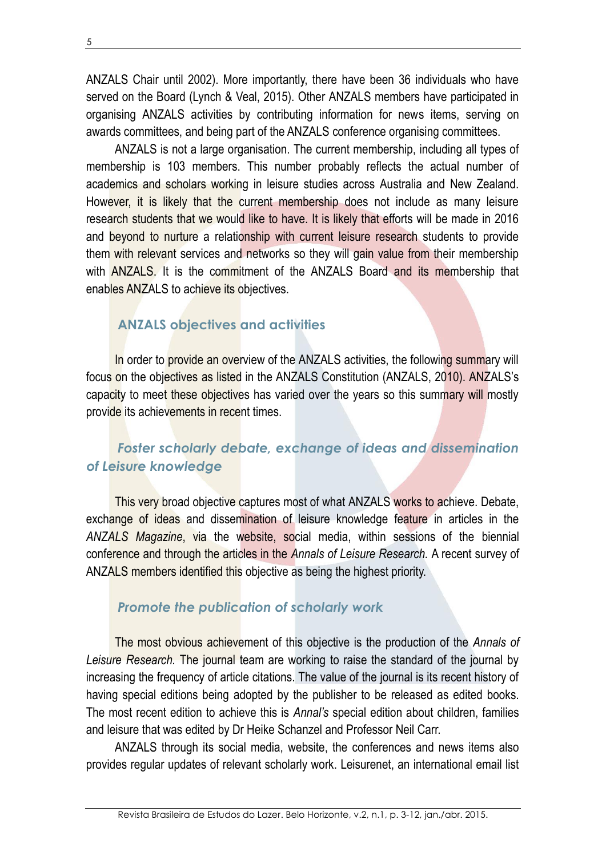ANZALS Chair until 2002). More importantly, there have been 36 individuals who have served on the Board (Lynch & Veal, 2015). Other ANZALS members have participated in organising ANZALS activities by contributing information for news items, serving on awards committees, and being part of the ANZALS conference organising committees.

ANZALS is not a large organisation. The current membership, including all types of membership is 103 members. This number probably reflects the actual number of academics and scholars working in leisure studies across Australia and New Zealand. However, it is likely that the current membership does not include as many leisure research students that we would like to have. It is likely that efforts will be made in 2016 and beyond to nurture a relationship with current leisure research students to provide them with relevant services and networks so they will gain value from their membership with **ANZALS**. It is the commitment of the ANZALS Board and its membership that enables ANZALS to achieve its objectives.

# **ANZALS objectives and activities**

In order to provide an overview of the ANZALS activities, the following summary will focus on the objectives as listed in the ANZALS Constitution (ANZALS, 2010). ANZALS's capacity to meet these objectives has varied over the years so this summary will mostly provide its achievements in recent times.

# *Foster scholarly debate, exchange of ideas and dissemination of Leisure knowledge*

This very broad objective captures most of what ANZALS works to achieve. Debate, exchange of ideas and dissemination of leisure knowledge feature in articles in the *ANZALS Magazine*, via the website, social media, within sessions of the biennial conference and through the articles in the *Annals of Leisure Research.* A recent survey of ANZALS members identified this objective as being the highest priority.

### *Promote the publication of scholarly work*

The most obvious achievement of this objective is the production of the *Annals of Leisure Research.* The journal team are working to raise the standard of the journal by increasing the frequency of article citations. The value of the journal is its recent history of having special editions being adopted by the publisher to be released as edited books. The most recent edition to achieve this is *Annal's* special edition about children, families and leisure that was edited by Dr Heike Schanzel and Professor Neil Carr.

ANZALS through its social media, website, the conferences and news items also provides regular updates of relevant scholarly work. Leisurenet, an international email list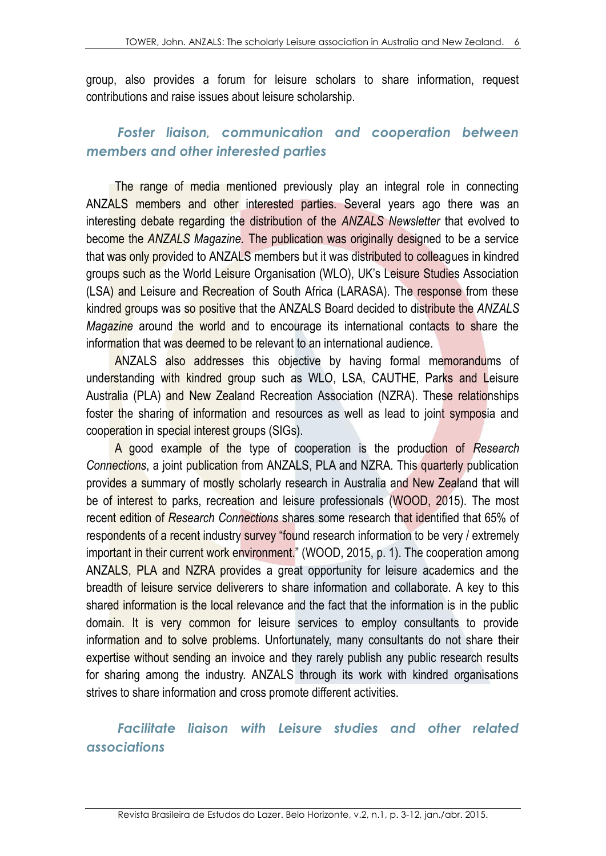group, also provides a forum for leisure scholars to share information, request contributions and raise issues about leisure scholarship.

## *Foster liaison, communication and cooperation between members and other interested parties*

The range of media mentioned previously play an integral role in connecting ANZALS members and other interested parties. Several years ago there was an interesting debate regarding the distribution of the *ANZALS Newsletter* that evolved to become the *ANZALS Magazine.* The publication was originally designed to be a service that was only provided to ANZALS members but it was distributed to colleagues in kindred groups such as the World Leisure Organisation (WLO), UK's Leisure Studies Association (LSA) and Leisure and Recreation of South Africa (LARASA). The response from these kindred groups was so positive that the ANZALS Board decided to distribute the *ANZALS Magazine* around the world and to encourage its international contacts to share the information that was deemed to be relevant to an international audience.

ANZALS also addresses this objective by having formal memorandums of understanding with kindred group such as WLO, LSA, CAUTHE, Parks and Leisure Australia (PLA) and New Zealand Recreation Association (NZRA). These relationships foster the sharing of information and resources as well as lead to joint symposia and cooperation in special interest groups (SIGs).

A good example of the type of cooperation is the production of *Research Connections*, a joint publication from ANZALS, PLA and NZRA. This quarterly publication provides a summary of mostly scholarly research in Australia and New Zealand that will be of interest to parks, recreation and leisure professionals (WOOD, 2015). The most recent edition of *Research Connections* shares some research that identified that 65% of respondents of a recent industry survey "found research information to be very / extremely important in their current work environment." (WOOD, 2015, p. 1). The cooperation among ANZALS, PLA and NZRA provides a great opportunity for leisure academics and the breadth of leisure service deliverers to share information and collaborate. A key to this shared information is the local relevance and the fact that the information is in the public domain. It is very common for leisure services to employ consultants to provide information and to solve problems. Unfortunately, many consultants do not share their expertise without sending an invoice and they rarely publish any public research results for sharing among the industry. ANZALS through its work with kindred organisations strives to share information and cross promote different activities.

*Facilitate liaison with Leisure studies and other related associations*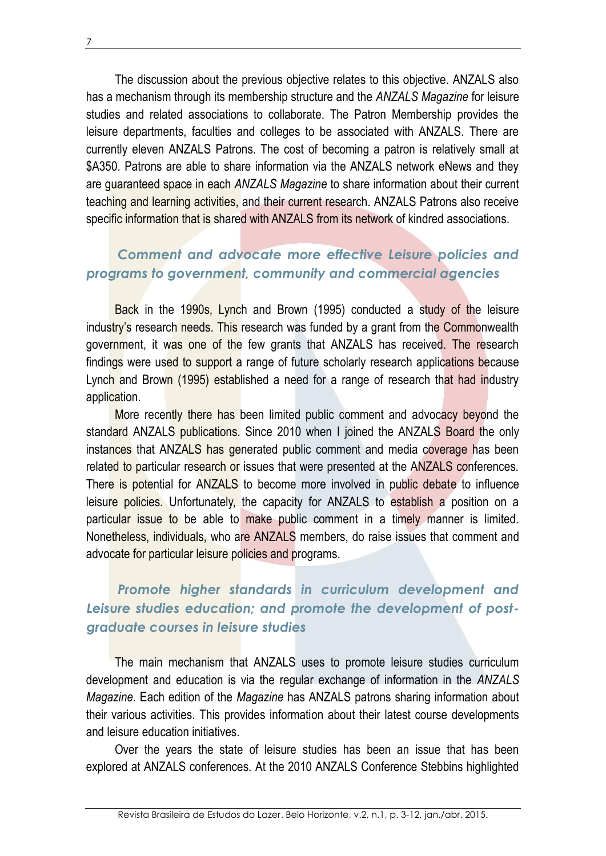7

The discussion about the previous objective relates to this objective. ANZALS also has a mechanism through its membership structure and the *ANZALS Magazine* for leisure studies and related associations to collaborate. The Patron Membership provides the leisure departments, faculties and colleges to be associated with ANZALS. There are currently eleven ANZALS Patrons. The cost of becoming a patron is relatively small at \$A350. Patrons are able to share information via the ANZALS network eNews and they are guaranteed space in each *ANZALS Magazine* to share information about their current teaching and learning activities, and their current research. ANZALS Patrons also receive specific information that is shared with ANZALS from its network of kindred associations.

## *Comment and advocate more effective Leisure policies and programs to government, community and commercial agencies*

Back in the 1990s, Lynch and Brown (1995) conducted a study of the leisure industry's research needs. This research was funded by a grant from the Commonwealth government, it was one of the few grants that ANZALS has received. The research findings were used to support a range of future scholarly research applications because Lynch and Brown (1995) established a need for a range of research that had industry application.

More recently there has been limited public comment and advocacy beyond the standard ANZALS publications. Since 2010 when I joined the ANZALS Board the only instances that ANZALS has generated public comment and media coverage has been related to particular research or issues that were presented at the ANZALS conferences. There is potential for ANZALS to become more involved in public debate to influence leisure policies. Unfortunately, the capacity for ANZALS to establish a position on a particular issue to be able to make public comment in a timely manner is limited. Nonetheless, individuals, who are ANZALS members, do raise issues that comment and advocate for particular leisure policies and programs.

# *Promote higher standards in curriculum development and Leisure studies education; and promote the development of postgraduate courses in leisure studies*

The main mechanism that ANZALS uses to promote leisure studies curriculum development and education is via the regular exchange of information in the *ANZALS Magazine*. Each edition of the *Magazine* has ANZALS patrons sharing information about their various activities. This provides information about their latest course developments and leisure education initiatives.

Over the years the state of leisure studies has been an issue that has been explored at ANZALS conferences. At the 2010 ANZALS Conference Stebbins highlighted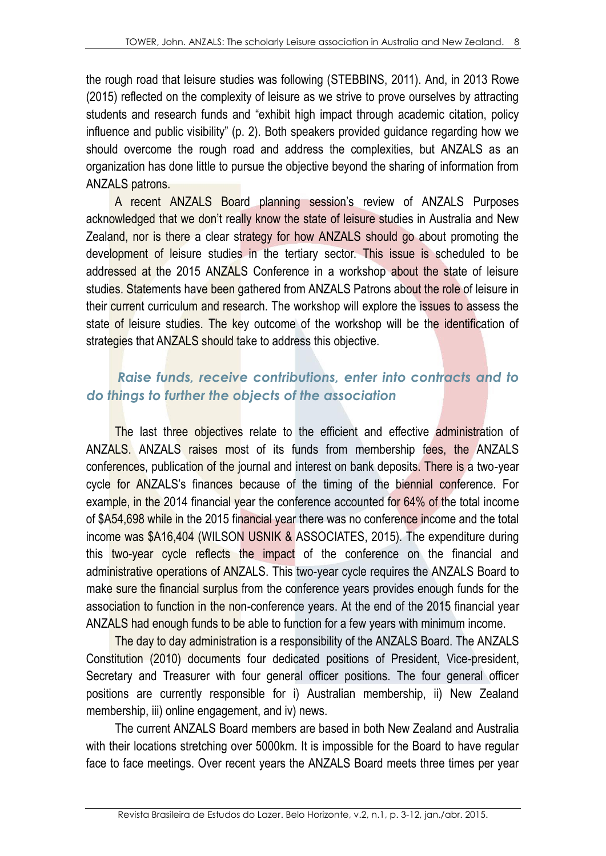the rough road that leisure studies was following (STEBBINS, 2011). And, in 2013 Rowe (2015) reflected on the complexity of leisure as we strive to prove ourselves by attracting students and research funds and "exhibit high impact through academic citation, policy influence and public visibility" (p. 2). Both speakers provided guidance regarding how we should overcome the rough road and address the complexities, but ANZALS as an organization has done little to pursue the objective beyond the sharing of information from ANZALS patrons.

A recent ANZALS Board planning session's review of ANZALS Purposes acknowledged that we don't really know the state of leisure studies in Australia and New Zealand, nor is there a clear strategy for how ANZALS should go about promoting the development of leisure studies in the tertiary sector. This issue is scheduled to be addressed at the 2015 ANZALS Conference in a workshop about the state of leisure studies. Statements have been gathered from ANZALS Patrons about the role of leisure in their current curriculum and research. The workshop will explore the issues to assess the state of leisure studies. The key outcome of the workshop will be the identification of strategies that ANZALS should take to address this objective.

## *Raise funds, receive contributions, enter into contracts and to do things to further the objects of the association*

The last three objectives relate to the efficient and effective administration of ANZALS. ANZALS raises most of its funds from membership fees, the ANZALS conferences, publication of the journal and interest on bank deposits. There is a two-year cycle for ANZALS's finances because of the timing of the biennial conference. For example, in the 2014 financial year the conference accounted for 64% of the total income of \$A54,698 while in the 2015 financial year there was no conference income and the total income was \$A16,404 (WILSON USNIK & ASSOCIATES, 2015). The expenditure during this two-year cycle reflects the impact of the conference on the financial and administrative operations of ANZALS. This two-year cycle requires the ANZALS Board to make sure the financial surplus from the conference years provides enough funds for the association to function in the non-conference years. At the end of the 2015 financial year ANZALS had enough funds to be able to function for a few years with minimum income.

The day to day administration is a responsibility of the ANZALS Board. The ANZALS Constitution (2010) documents four dedicated positions of President, Vice-president, Secretary and Treasurer with four general officer positions. The four general officer positions are currently responsible for i) Australian membership, ii) New Zealand membership, iii) online engagement, and iv) news.

The current ANZALS Board members are based in both New Zealand and Australia with their locations stretching over 5000km. It is impossible for the Board to have regular face to face meetings. Over recent years the ANZALS Board meets three times per year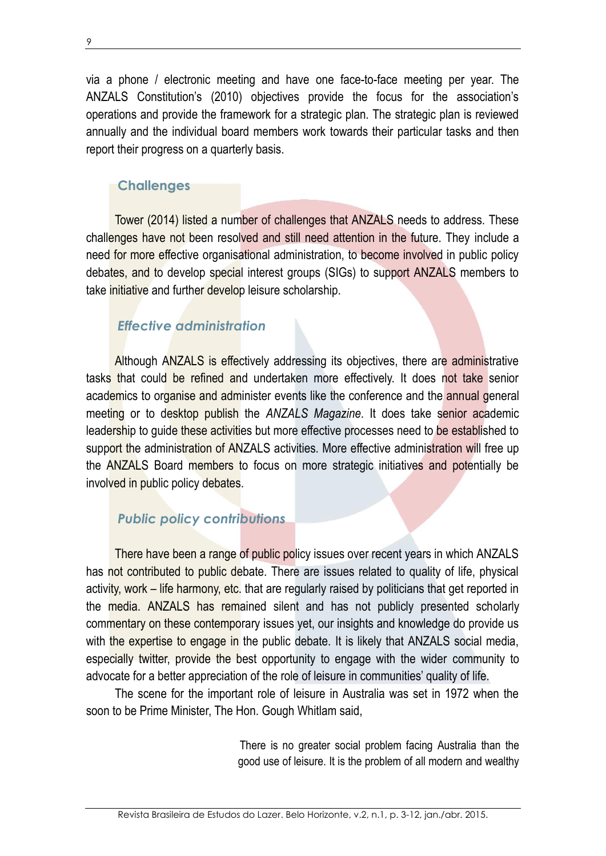via a phone / electronic meeting and have one face-to-face meeting per year. The ANZALS Constitution's (2010) objectives provide the focus for the association's operations and provide the framework for a strategic plan. The strategic plan is reviewed annually and the individual board members work towards their particular tasks and then report their progress on a quarterly basis.

#### **Challenges**

Tower (2014) listed a number of challenges that ANZALS needs to address. These challenges have not been resolved and still need attention in the future. They include a need for more effective organisational administration, to become involved in public policy debates, and to develop special interest groups (SIGs) to support ANZALS members to take *initiative* and further develop leisure scholarship.

## *Effective administration*

Although ANZALS is effectively addressing its objectives, there are administrative tasks that could be refined and undertaken more effectively. It does not take senior academics to organise and administer events like the conference and the annual general meeting or to desktop publish the *ANZALS Magazine*. It does take senior academic leadership to guide these activities but more effective processes need to be established to support the administration of ANZALS activities. More effective administration will free up the ANZALS Board members to focus on more strategic initiatives and potentially be involved in public policy debates.

## *Public policy contributions*

There have been a range of public policy issues over recent years in which ANZALS has not contributed to public debate. There are issues related to quality of life, physical activity, work – life harmony, etc. that are regularly raised by politicians that get reported in the media. ANZALS has remained silent and has not publicly presented scholarly commentary on these contemporary issues yet, our insights and knowledge do provide us with the expertise to engage in the public debate. It is likely that ANZALS social media, especially twitter, provide the best opportunity to engage with the wider community to advocate for a better appreciation of the role of leisure in communities' quality of life.

The scene for the important role of leisure in Australia was set in 1972 when the soon to be Prime Minister, The Hon. Gough Whitlam said,

> There is no greater social problem facing Australia than the good use of leisure. It is the problem of all modern and wealthy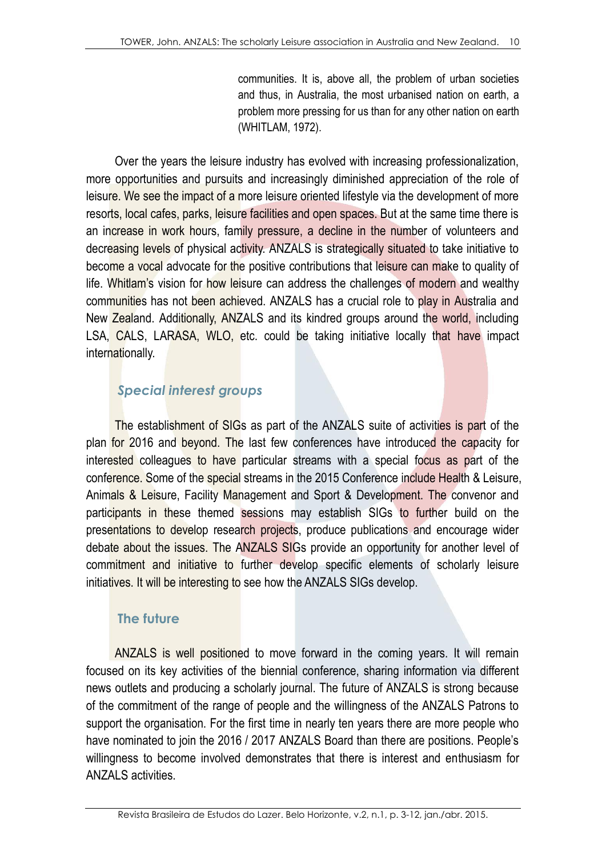communities. It is, above all, the problem of urban societies and thus, in Australia, the most urbanised nation on earth, a problem more pressing for us than for any other nation on earth (WHITLAM, 1972).

Over the years the leisure industry has evolved with increasing professionalization, more opportunities and pursuits and increasingly diminished appreciation of the role of leisure. We see the impact of a more leisure oriented lifestyle via the development of more resorts, local cafes, parks, leisure facilities and open spaces. But at the same time there is an increase in work hours, family pressure, a decline in the number of volunteers and decreasing levels of physical activity. ANZALS is strategically situated to take initiative to become a vocal advocate for the positive contributions that leisure can make to quality of life. Whitlam's vision for how leisure can address the challenges of modern and wealthy communities has not been achieved. ANZALS has a crucial role to play in Australia and New Zealand. Additionally, ANZALS and its kindred groups around the world, including LSA, CALS, LARASA, WLO, etc. could be taking initiative locally that have impact internationally.

## *Special interest groups*

The establishment of SIGs as part of the ANZALS suite of activities is part of the plan for 2016 and beyond. The last few conferences have introduced the capacity for interested colleagues to have particular streams with a special focus as part of the conference. Some of the special streams in the 2015 Conference include Health & Leisure, Animals & Leisure, Facility Management and Sport & Development. The convenor and participants in these themed sessions may establish SIGs to further build on the presentations to develop research projects, produce publications and encourage wider debate about the issues. The ANZALS SIGs provide an opportunity for another level of commitment and initiative to further develop specific elements of scholarly leisure initiatives. It will be interesting to see how the ANZALS SIGs develop.

### **The future**

ANZALS is well positioned to move forward in the coming years. It will remain focused on its key activities of the biennial conference, sharing information via different news outlets and producing a scholarly journal. The future of ANZALS is strong because of the commitment of the range of people and the willingness of the ANZALS Patrons to support the organisation. For the first time in nearly ten years there are more people who have nominated to join the 2016 / 2017 ANZALS Board than there are positions. People's willingness to become involved demonstrates that there is interest and enthusiasm for ANZALS activities.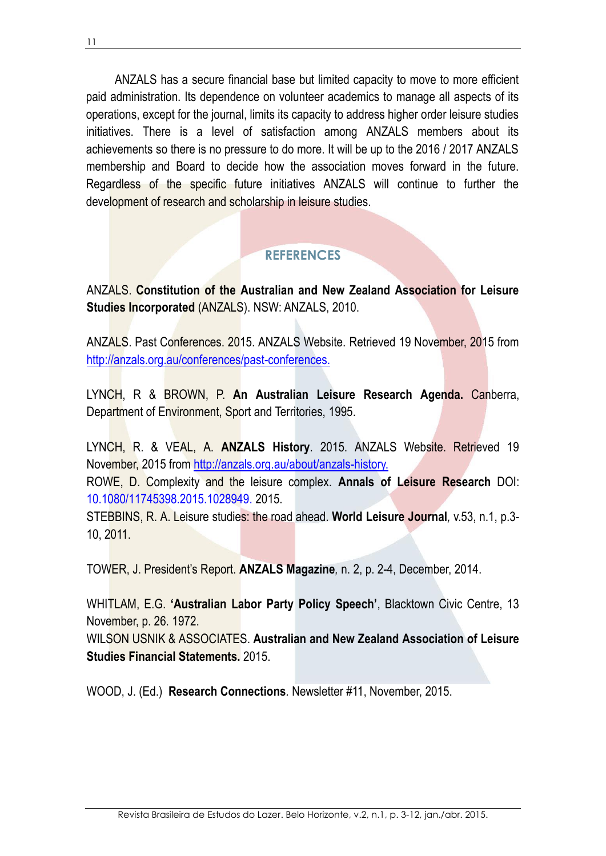ANZALS has a secure financial base but limited capacity to move to more efficient paid administration. Its dependence on volunteer academics to manage all aspects of its operations, except for the journal, limits its capacity to address higher order leisure studies initiatives. There is a level of satisfaction among ANZALS members about its achievements so there is no pressure to do more. It will be up to the 2016 / 2017 ANZALS membership and Board to decide how the association moves forward in the future. Regardless of the specific future initiatives ANZALS will continue to further the development of research and scholarship in leisure studies.

## **REFERENCES**

ANZALS. **Constitution of the Australian and New Zealand Association for Leisure Studies Incorporated** (ANZALS). NSW: ANZALS, 2010.

ANZALS. Past Conferences. 2015. ANZALS Website. Retrieved 19 November, 2015 from [http://anzals.org.au/conferences/past-conferences.](http://anzals.org.au/conferences/past-conferences)

LYNCH, R & BROWN, P. **An Australian Leisure Research Agenda.** Canberra, Department of Environment, Sport and Territories, 1995.

LYNCH, R. & VEAL, A. **ANZALS History**. 2015. ANZALS Website. Retrieved 19 November, 2015 from [http://anzals.org.au/about/anzals-history.](http://anzals.org.au/about/anzals-history) ROWE, D. Complexity and the leisure complex. **Annals of Leisure Research** DOI: 10.1080/11745398.2015.1028949. 2015.

STEBBINS, R. A. Leisure studies: the road ahead. **World Leisure Journal***,* v.53, n.1, p.3- 10, 2011.

TOWER, J. President's Report. **ANZALS Magazine***,* n. 2, p. 2-4, December, 2014.

WHITLAM, E.G. **'Australian Labor Party Policy Speech'**, Blacktown Civic Centre, 13 November, p. 26. 1972.

WILSON USNIK & ASSOCIATES. **Australian and New Zealand Association of Leisure Studies Financial Statements.** 2015.

WOOD, J. (Ed.) **Research Connections***.* Newsletter #11, November, 2015.